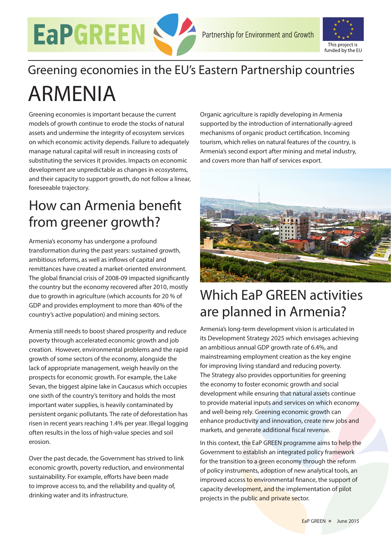



# Greening economies in the EU's Eastern Partnership countries ARMENIA

Greening economies is important because the current models of growth continue to erode the stocks of natural assets and undermine the integrity of ecosystem services on which economic activity depends. Failure to adequately manage natural capital will result in increasing costs of substituting the services it provides. Impacts on economic development are unpredictable as changes in ecosystems, and their capacity to support growth, do not follow a linear, foreseeable trajectory.

### How can Armenia benefit from greener growth?

Armenia's economy has undergone a profound transformation during the past years: sustained growth, ambitious reforms, as well as inflows of capital and remittances have created a market-oriented environment. The global financial crisis of 2008-09 impacted significantly the country but the economy recovered after 2010, mostly due to growth in agriculture (which accounts for 20 % of GDP and provides employment to more than 40% of the country's active population) and mining sectors.

Armenia still needs to boost shared prosperity and reduce poverty through accelerated economic growth and job creation. However, environmental problems and the rapid growth of some sectors of the economy, alongside the lack of appropriate management, weigh heavily on the prospects for economic growth. For example, the Lake Sevan, the biggest alpine lake in Caucasus which occupies one sixth of the country's territory and holds the most important water supplies, is heavily contaminated by persistent organic pollutants. The rate of deforestation has risen in recent years reaching 1.4% per year. Illegal logging often results in the loss of high-value species and soil erosion.

Over the past decade, the Government has strived to link economic growth, poverty reduction, and environmental sustainability. For example, efforts have been made to improve access to, and the reliability and quality of, drinking water and its infrastructure.

Organic agriculture is rapidly developing in Armenia supported by the introduction of internationally-agreed mechanisms of organic product certification. Incoming tourism, which relies on natural features of the country, is Armenia's second export after mining and metal industry, and covers more than half of services export.



## Which EaP GREEN activities are planned in Armenia?

Armenia's long-term development vision is articulated in its Development Strategy 2025 which envisages achieving an ambitious annual GDP growth rate of 6.4%, and mainstreaming employment creation as the key engine for improving living standard and reducing poverty. The Strategy also provides opportunities for greening the economy to foster economic growth and social development while ensuring that natural assets continue to provide material inputs and services on which economy and well-being rely. Greening economic growth can enhance productivity and innovation, create new jobs and markets, and generate additional fiscal revenue.

In this context, the EaP GREEN programme aims to help the Government to establish an integrated policy framework for the transition to a green economy through the reform of policy instruments, adoption of new analytical tools, an improved access to environmental finance, the support of capacity development, and the implementation of pilot projects in the public and private sector.